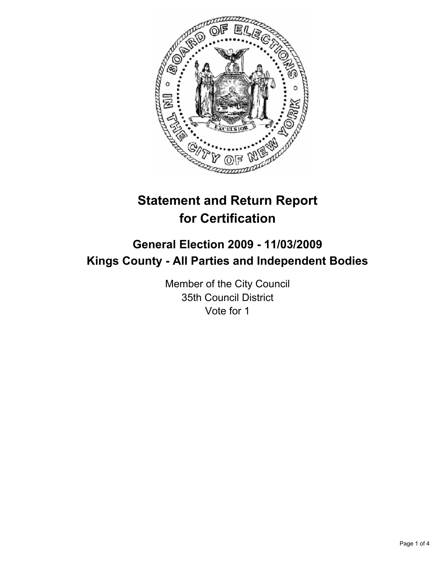

# **Statement and Return Report for Certification**

# **General Election 2009 - 11/03/2009 Kings County - All Parties and Independent Bodies**

Member of the City Council 35th Council District Vote for 1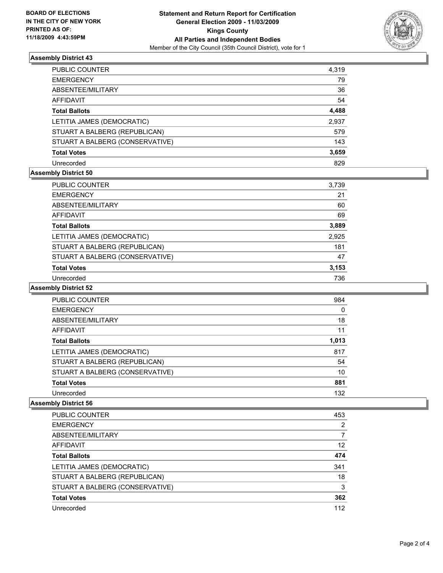

# **Assembly District 43**

| PUBLIC COUNTER                  | 4,319 |
|---------------------------------|-------|
| EMERGENCY                       | 79    |
| ABSENTEE/MILITARY               | 36    |
| AFFIDAVIT                       | 54    |
| Total Ballots                   | 4,488 |
| LETITIA JAMES (DEMOCRATIC)      | 2,937 |
| STUART A BALBERG (REPUBLICAN)   | 579   |
| STUART A BALBERG (CONSERVATIVE) | 143   |
| <b>Total Votes</b>              | 3,659 |
| Unrecorded                      | 829   |

# **Assembly District 50**

| PUBLIC COUNTER                  | 3,739 |
|---------------------------------|-------|
| <b>EMERGENCY</b>                | 21    |
| ABSENTEE/MILITARY               | 60    |
| <b>AFFIDAVIT</b>                | 69    |
| <b>Total Ballots</b>            | 3,889 |
| LETITIA JAMES (DEMOCRATIC)      | 2,925 |
| STUART A BALBERG (REPUBLICAN)   | 181   |
| STUART A BALBERG (CONSERVATIVE) | 47    |
| <b>Total Votes</b>              | 3,153 |
| Unrecorded                      | 736   |

#### **Assembly District 52**

| PUBLIC COUNTER                  | 984   |
|---------------------------------|-------|
| <b>EMERGENCY</b>                | 0     |
| ABSENTEE/MILITARY               | 18    |
| <b>AFFIDAVIT</b>                | 11    |
| <b>Total Ballots</b>            | 1.013 |
| LETITIA JAMES (DEMOCRATIC)      | 817   |
| STUART A BALBERG (REPUBLICAN)   | 54    |
| STUART A BALBERG (CONSERVATIVE) | 10    |
| <b>Total Votes</b>              | 881   |
| Unrecorded                      | 132   |

#### **Assembly District 56**

| PUBLIC COUNTER                  | 453 |
|---------------------------------|-----|
| <b>EMERGENCY</b>                | 2   |
| ABSENTEE/MILITARY               |     |
| AFFIDAVIT                       | 12  |
| <b>Total Ballots</b>            | 474 |
| LETITIA JAMES (DEMOCRATIC)      | 341 |
| STUART A BALBERG (REPUBLICAN)   | 18  |
| STUART A BALBERG (CONSERVATIVE) | 3   |
| <b>Total Votes</b>              | 362 |
| Unrecorded                      | 112 |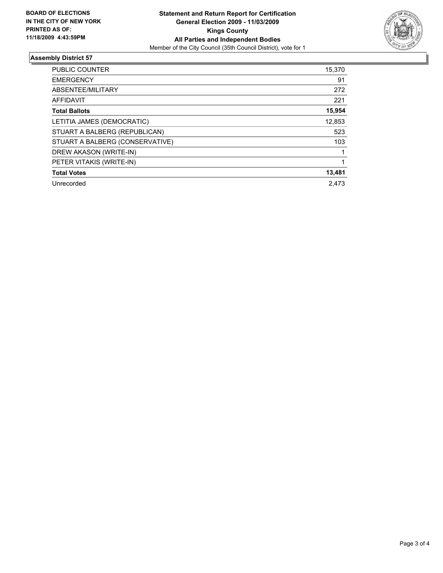

# **Assembly District 57**

| <b>PUBLIC COUNTER</b>           | 15,370 |
|---------------------------------|--------|
| <b>EMERGENCY</b>                | 91     |
| ABSENTEE/MILITARY               | 272    |
| AFFIDAVIT                       | 221    |
| <b>Total Ballots</b>            | 15,954 |
| LETITIA JAMES (DEMOCRATIC)      | 12,853 |
| STUART A BALBERG (REPUBLICAN)   | 523    |
| STUART A BALBERG (CONSERVATIVE) | 103    |
| DREW AKASON (WRITE-IN)          |        |
| PETER VITAKIS (WRITE-IN)        |        |
| <b>Total Votes</b>              | 13,481 |
| Unrecorded                      | 2.473  |